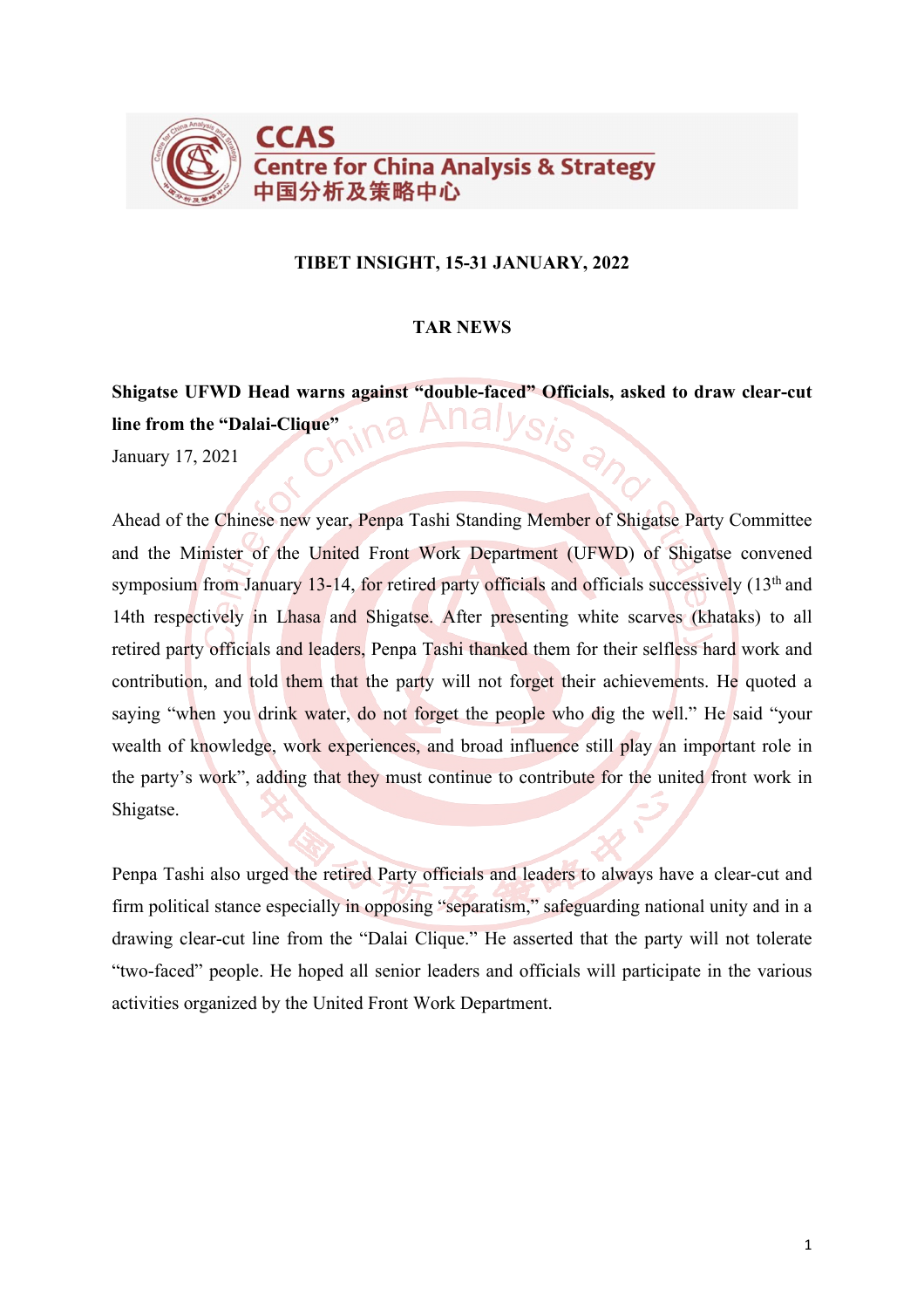

### **TIBET INSIGHT, 15-31 JANUARY, 2022**

### **TAR NEWS**

**Shigatse UFWD Head warns against "double-faced" Officials, asked to draw clear-cut line from the "Dalai-Clique"**  $\partial_f$ 

January 17, 2021

Ahead of the Chinese new year, Penpa Tashi Standing Member of Shigatse Party Committee and the Minister of the United Front Work Department (UFWD) of Shigatse convened symposium from January 13-14, for retired party officials and officials successively  $(13<sup>th</sup>$  and 14th respectively in Lhasa and Shigatse. After presenting white scarves (khataks) to all retired party officials and leaders, Penpa Tashi thanked them for their selfless hard work and contribution, and told them that the party will not forget their achievements. He quoted a saying "when you drink water, do not forget the people who dig the well." He said "your wealth of knowledge, work experiences, and broad influence still play an important role in the party's work", adding that they must continue to contribute for the united front work in Shigatse.

Penpa Tashi also urged the retired Party officials and leaders to always have a clear-cut and firm political stance especially in opposing "separatism," safeguarding national unity and in a drawing clear-cut line from the "Dalai Clique." He asserted that the party will not tolerate "two-faced" people. He hoped all senior leaders and officials will participate in the various activities organized by the United Front Work Department.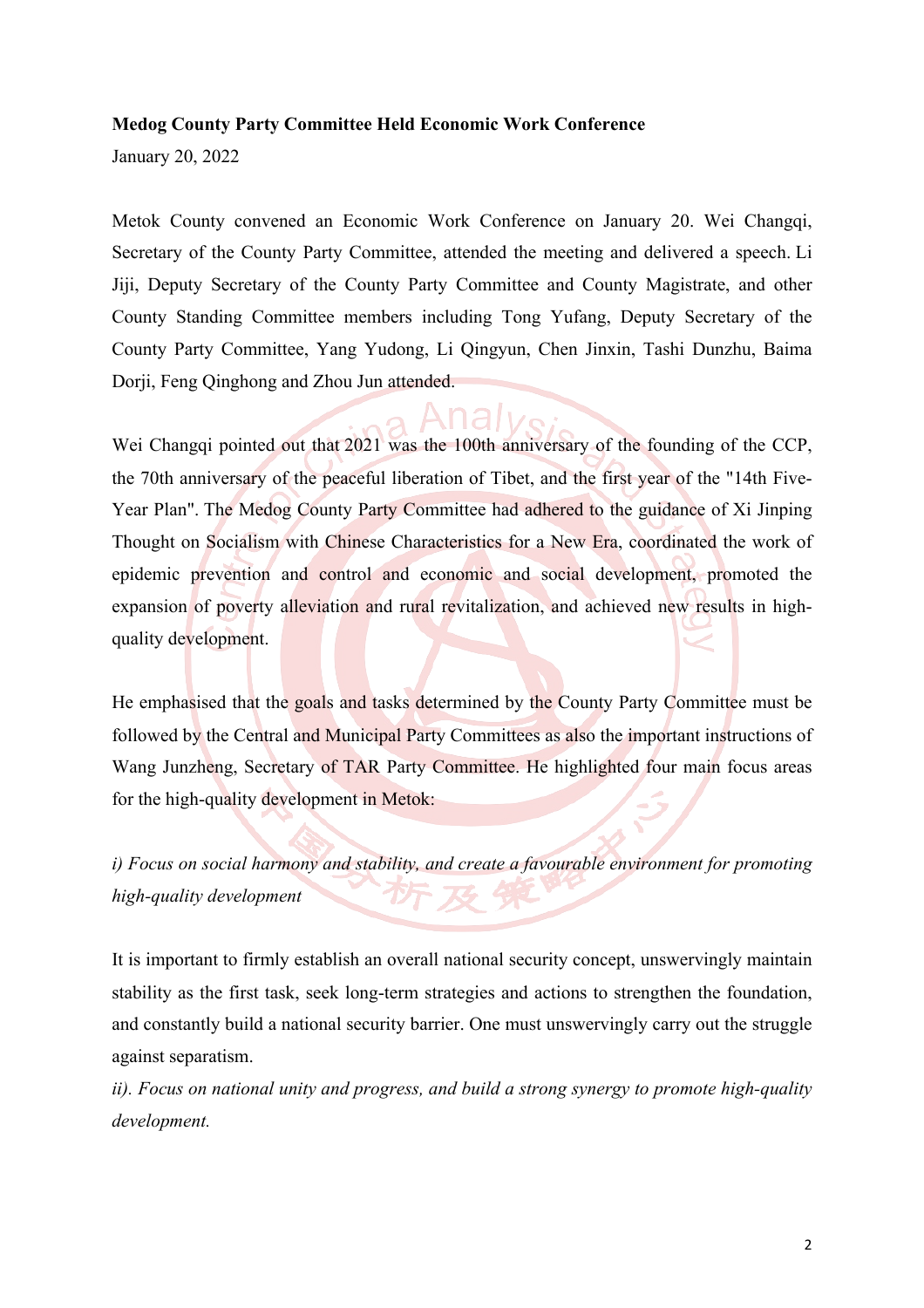#### **Medog County Party Committee Held Economic Work Conference**

January 20, 2022

Metok County convened an Economic Work Conference on January 20. Wei Changqi, Secretary of the County Party Committee, attended the meeting and delivered a speech. Li Jiji, Deputy Secretary of the County Party Committee and County Magistrate, and other County Standing Committee members including Tong Yufang, Deputy Secretary of the County Party Committee, Yang Yudong, Li Qingyun, Chen Jinxin, Tashi Dunzhu, Baima Dorji, Feng Qinghong and Zhou Jun attended.

Wei Changqi pointed out that 2021 was the 100th anniversary of the founding of the CCP, the 70th anniversary of the peaceful liberation of Tibet, and the first year of the "14th Five-Year Plan". The Medog County Party Committee had adhered to the guidance of Xi Jinping Thought on Socialism with Chinese Characteristics for a New Era, coordinated the work of epidemic prevention and control and economic and social development, promoted the expansion of poverty alleviation and rural revitalization, and achieved new results in highquality development.

He emphasised that the goals and tasks determined by the County Party Committee must be followed by the Central and Municipal Party Committees as also the important instructions of Wang Junzheng, Secretary of TAR Party Committee. He highlighted four main focus areas for the high-quality development in Metok:

*i) Focus on social harmony and stability, and create a favourable environment for promoting high-quality development*

It is important to firmly establish an overall national security concept, unswervingly maintain stability as the first task, seek long-term strategies and actions to strengthen the foundation, and constantly build a national security barrier. One must unswervingly carry out the struggle against separatism.

*ii). Focus on national unity and progress, and build a strong synergy to promote high-quality development.*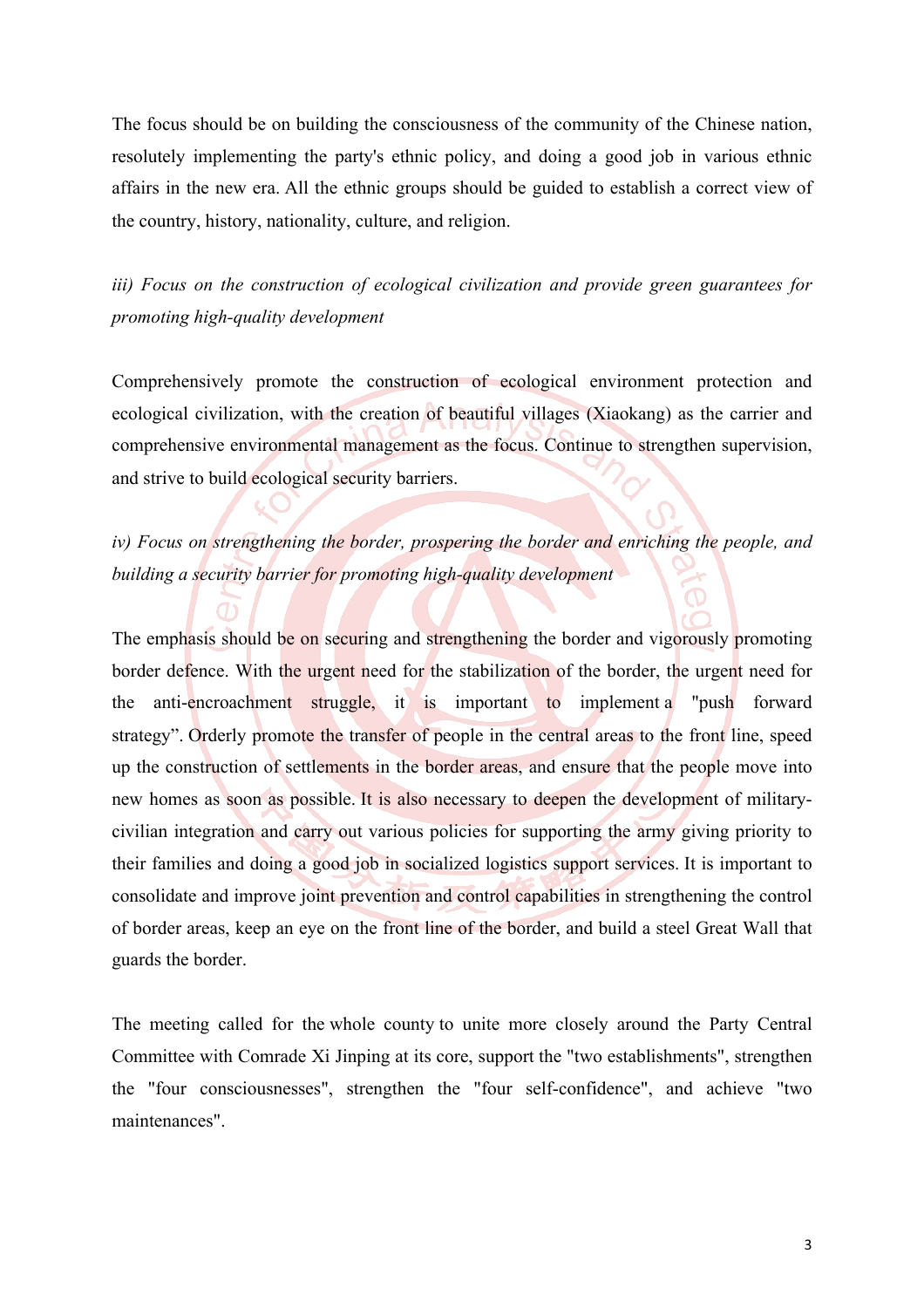The focus should be on building the consciousness of the community of the Chinese nation, resolutely implementing the party's ethnic policy, and doing a good job in various ethnic affairs in the new era. All the ethnic groups should be guided to establish a correct view of the country, history, nationality, culture, and religion.

*iii) Focus on the construction of ecological civilization and provide green guarantees for promoting high-quality development*

Comprehensively promote the construction of ecological environment protection and ecological civilization, with the creation of beautiful villages (Xiaokang) as the carrier and comprehensive environmental management as the focus. Continue to strengthen supervision, and strive to build ecological security barriers.

*iv) Focus on strengthening the border, prospering the border and enriching the people, and building a security barrier for promoting high-quality development*

The emphasis should be on securing and strengthening the border and vigorously promoting border defence. With the urgent need for the stabilization of the border, the urgent need for the anti-encroachment struggle, it is important to implement a "push forward strategy". Orderly promote the transfer of people in the central areas to the front line, speed up the construction of settlements in the border areas, and ensure that the people move into new homes as soon as possible. It is also necessary to deepen the development of militarycivilian integration and carry out various policies for supporting the army giving priority to their families and doing a good job in socialized logistics support services. It is important to consolidate and improve joint prevention and control capabilities in strengthening the control of border areas, keep an eye on the front line of the border, and build a steel Great Wall that guards the border.

The meeting called for the whole county to unite more closely around the Party Central Committee with Comrade Xi Jinping at its core, support the "two establishments", strengthen the "four consciousnesses", strengthen the "four self-confidence", and achieve "two maintenances".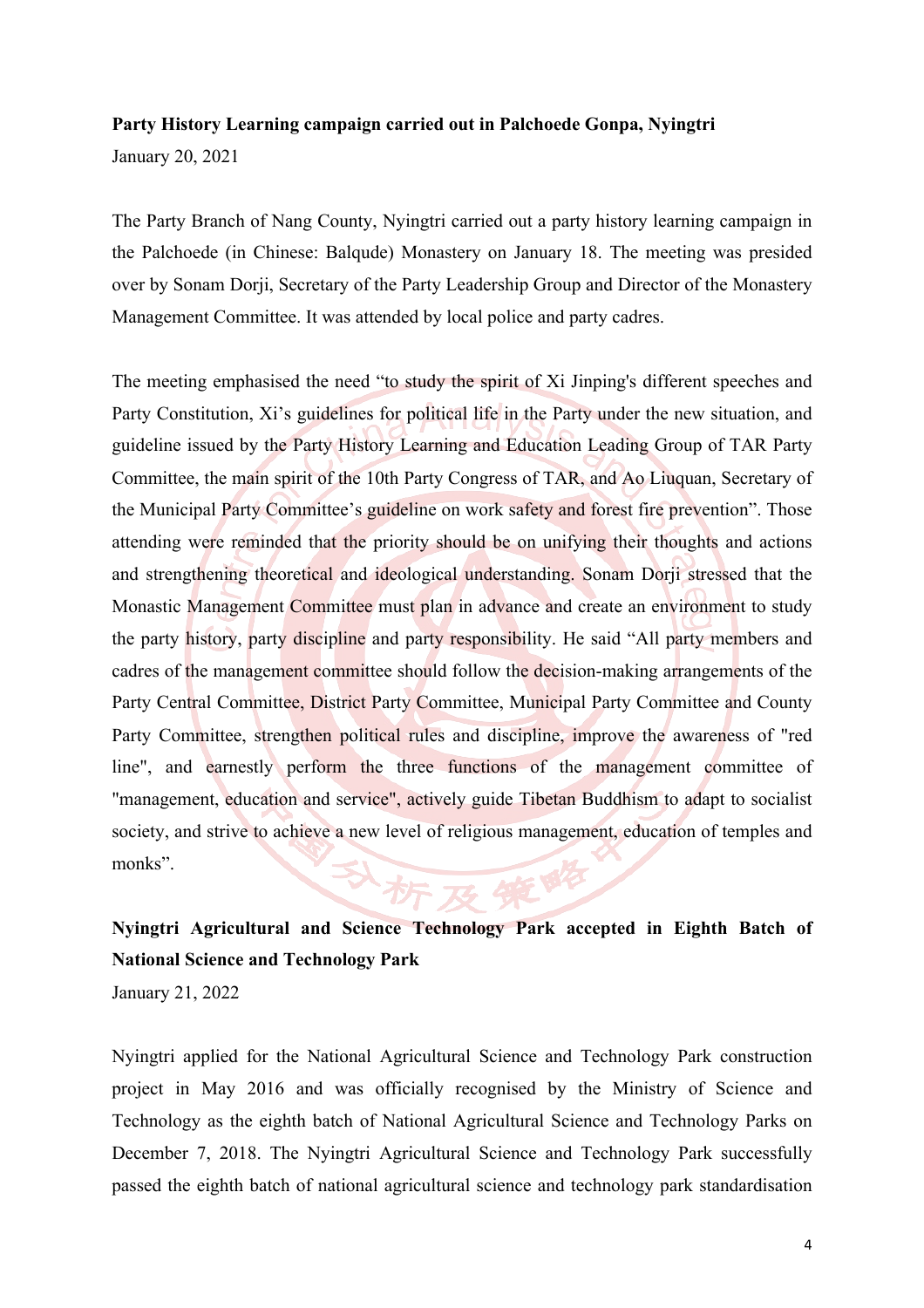#### **Party History Learning campaign carried out in Palchoede Gonpa, Nyingtri**

January 20, 2021

The Party Branch of Nang County, Nyingtri carried out a party history learning campaign in the Palchoede (in Chinese: Balqude) Monastery on January 18. The meeting was presided over by Sonam Dorji, Secretary of the Party Leadership Group and Director of the Monastery Management Committee. It was attended by local police and party cadres.

The meeting emphasised the need "to study the spirit of Xi Jinping's different speeches and Party Constitution, Xi's guidelines for political life in the Party under the new situation, and guideline issued by the Party History Learning and Education Leading Group of TAR Party Committee, the main spirit of the 10th Party Congress of TAR, and Ao Liuquan, Secretary of the Municipal Party Committee's guideline on work safety and forest fire prevention". Those attending were reminded that the priority should be on unifying their thoughts and actions and strengthening theoretical and ideological understanding. Sonam Dorji stressed that the Monastic Management Committee must plan in advance and create an environment to study the party history, party discipline and party responsibility. He said "All party members and cadres of the management committee should follow the decision-making arrangements of the Party Central Committee, District Party Committee, Municipal Party Committee and County Party Committee, strengthen political rules and discipline, improve the awareness of "red line", and earnestly perform the three functions of the management committee of "management, education and service", actively guide Tibetan Buddhism to adapt to socialist society, and strive to achieve a new level of religious management, education of temples and monks". Att 18/7

# **Nyingtri Agricultural and Science Technology Park accepted in Eighth Batch of National Science and Technology Park**

January 21, 2022

Nyingtri applied for the National Agricultural Science and Technology Park construction project in May 2016 and was officially recognised by the Ministry of Science and Technology as the eighth batch of National Agricultural Science and Technology Parks on December 7, 2018. The Nyingtri Agricultural Science and Technology Park successfully passed the eighth batch of national agricultural science and technology park standardisation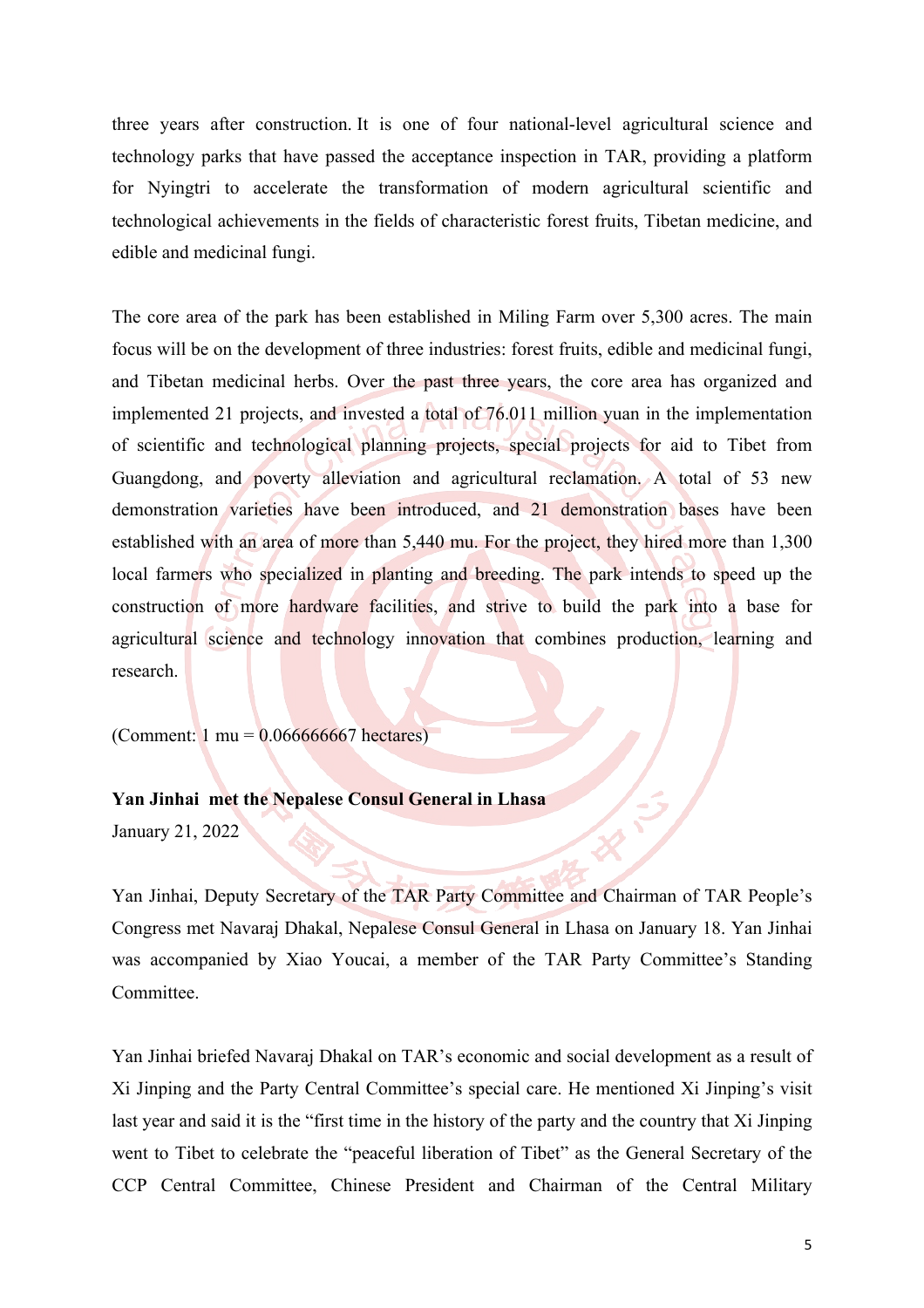three years after construction. It is one of four national-level agricultural science and technology parks that have passed the acceptance inspection in TAR, providing a platform for Nyingtri to accelerate the transformation of modern agricultural scientific and technological achievements in the fields of characteristic forest fruits, Tibetan medicine, and edible and medicinal fungi.

The core area of the park has been established in Miling Farm over 5,300 acres. The main focus will be on the development of three industries: forest fruits, edible and medicinal fungi, and Tibetan medicinal herbs. Over the past three years, the core area has organized and implemented 21 projects, and invested a total of 76.011 million yuan in the implementation of scientific and technological planning projects, special projects for aid to Tibet from Guangdong, and poverty alleviation and agricultural reclamation. A total of 53 new demonstration varieties have been introduced, and 21 demonstration bases have been established with an area of more than 5,440 mu. For the project, they hired more than 1,300 local farmers who specialized in planting and breeding. The park intends to speed up the construction of more hardware facilities, and strive to build the park into a base for agricultural science and technology innovation that combines production, learning and research.

(Comment:  $1 \text{ mu} = 0.066666667 \text{ hectares}$ )

**Yan Jinhai met the Nepalese Consul General in Lhasa**

January 21, 2022

Yan Jinhai, Deputy Secretary of the TAR Party Committee and Chairman of TAR People's Congress met Navaraj Dhakal, Nepalese Consul General in Lhasa on January 18. Yan Jinhai was accompanied by Xiao Youcai, a member of the TAR Party Committee's Standing Committee.

Yan Jinhai briefed Navaraj Dhakal on TAR's economic and social development as a result of Xi Jinping and the Party Central Committee's special care. He mentioned Xi Jinping's visit last year and said it is the "first time in the history of the party and the country that Xi Jinping went to Tibet to celebrate the "peaceful liberation of Tibet" as the General Secretary of the CCP Central Committee, Chinese President and Chairman of the Central Military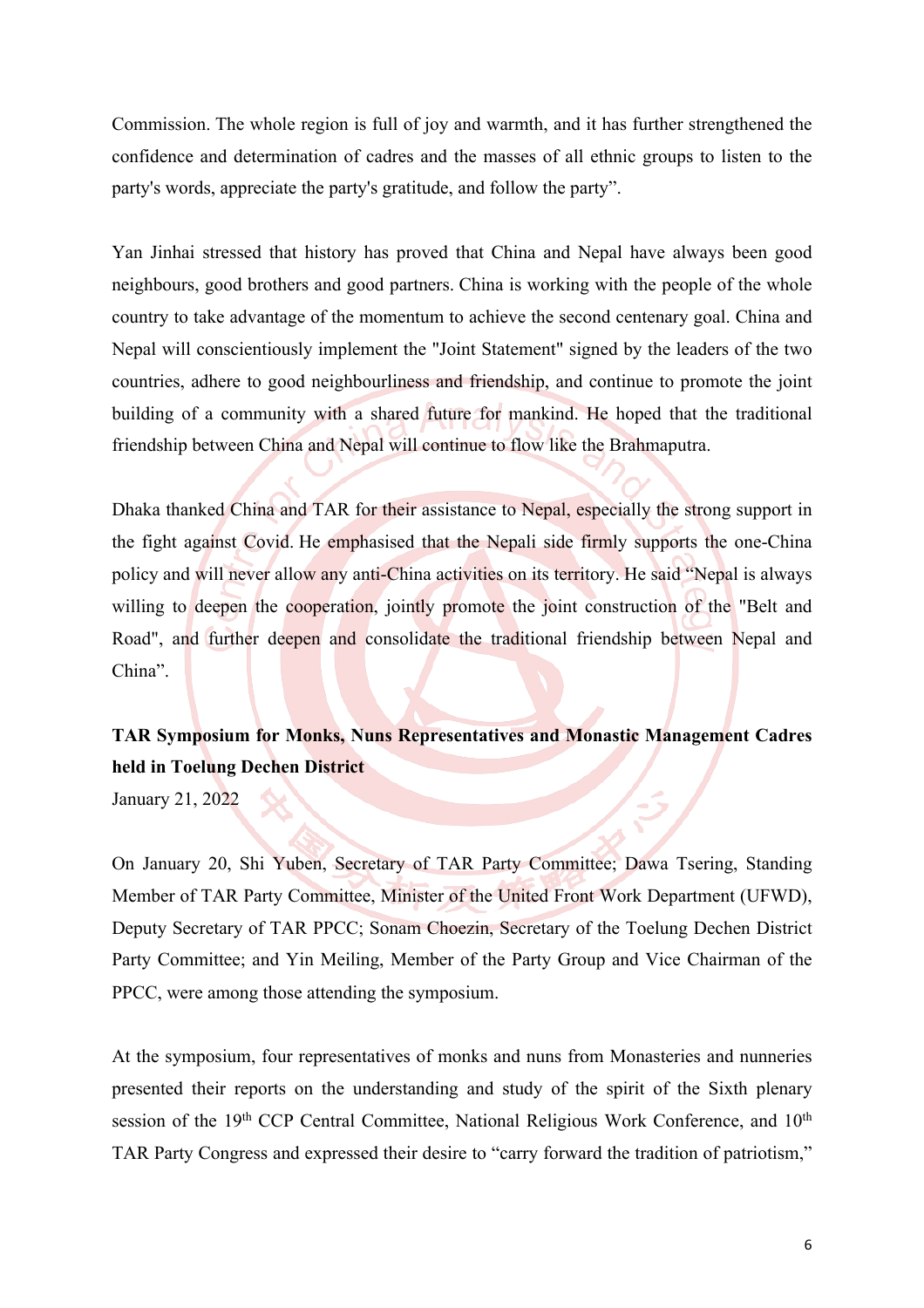Commission. The whole region is full of joy and warmth, and it has further strengthened the confidence and determination of cadres and the masses of all ethnic groups to listen to the party's words, appreciate the party's gratitude, and follow the party".

Yan Jinhai stressed that history has proved that China and Nepal have always been good neighbours, good brothers and good partners. China is working with the people of the whole country to take advantage of the momentum to achieve the second centenary goal. China and Nepal will conscientiously implement the "Joint Statement" signed by the leaders of the two countries, adhere to good neighbourliness and friendship, and continue to promote the joint building of a community with a shared future for mankind. He hoped that the traditional friendship between China and Nepal will continue to flow like the Brahmaputra.

Dhaka thanked China and TAR for their assistance to Nepal, especially the strong support in the fight against Covid. He emphasised that the Nepali side firmly supports the one-China policy and will never allow any anti-China activities on its territory. He said "Nepal is always willing to deepen the cooperation, jointly promote the joint construction of the "Belt and Road", and further deepen and consolidate the traditional friendship between Nepal and China".

## **TAR Symposium for Monks, Nuns Representatives and Monastic Management Cadres held in Toelung Dechen District**

January 21, 2022

On January 20, Shi Yuben, Secretary of TAR Party Committee; Dawa Tsering, Standing Member of TAR Party Committee, Minister of the United Front Work Department (UFWD), Deputy Secretary of TAR PPCC; Sonam Choezin, Secretary of the Toelung Dechen District Party Committee; and Yin Meiling, Member of the Party Group and Vice Chairman of the PPCC, were among those attending the symposium.

At the symposium, four representatives of monks and nuns from Monasteries and nunneries presented their reports on the understanding and study of the spirit of the Sixth plenary session of the 19<sup>th</sup> CCP Central Committee, National Religious Work Conference, and 10<sup>th</sup> TAR Party Congress and expressed their desire to "carry forward the tradition of patriotism,"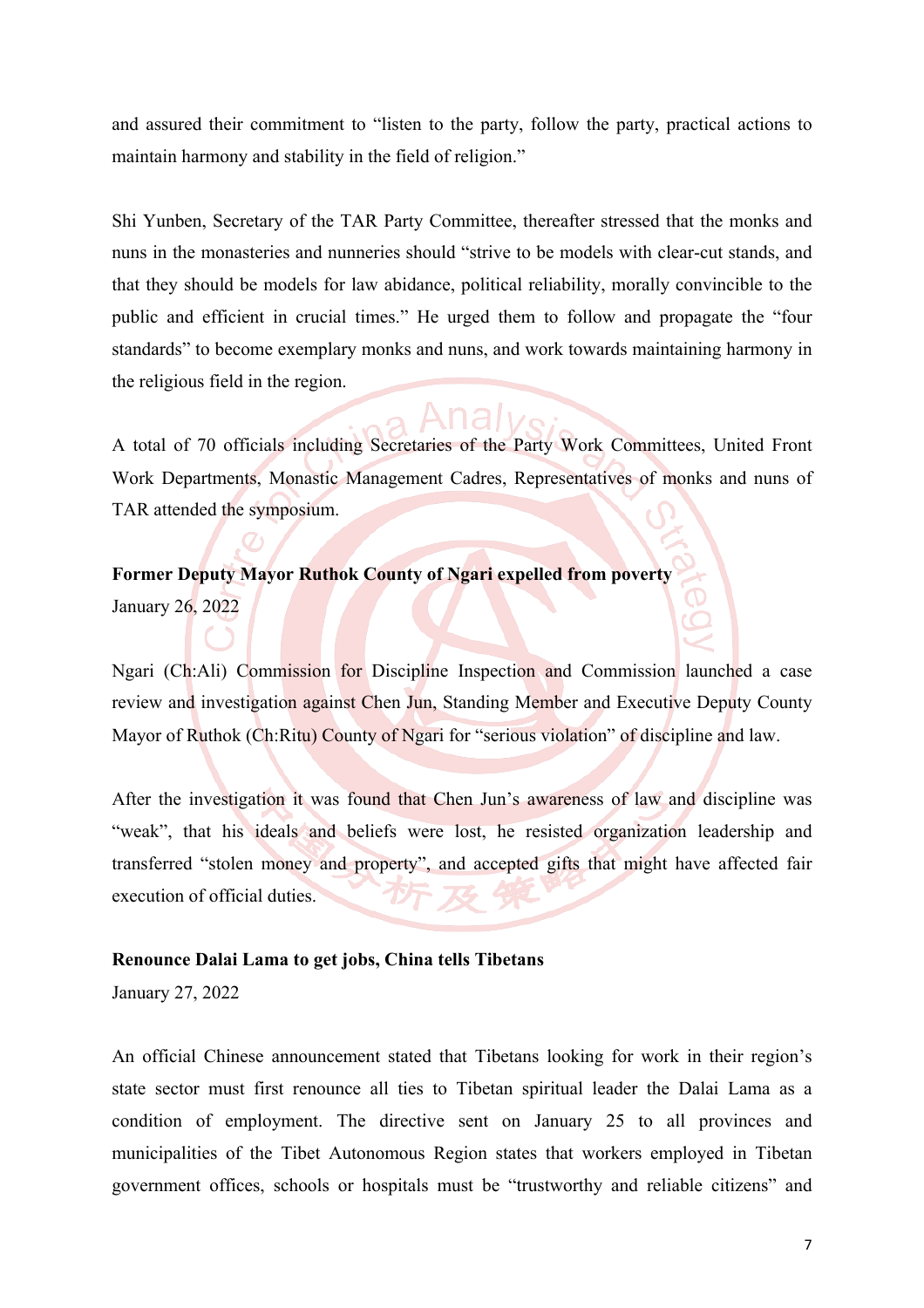and assured their commitment to "listen to the party, follow the party, practical actions to maintain harmony and stability in the field of religion."

Shi Yunben, Secretary of the TAR Party Committee, thereafter stressed that the monks and nuns in the monasteries and nunneries should "strive to be models with clear-cut stands, and that they should be models for law abidance, political reliability, morally convincible to the public and efficient in crucial times." He urged them to follow and propagate the "four standards" to become exemplary monks and nuns, and work towards maintaining harmony in the religious field in the region.

A total of 70 officials including Secretaries of the Party Work Committees, United Front Work Departments, Monastic Management Cadres, Representatives of monks and nuns of TAR attended the symposium.

#### **Former Deputy Mayor Ruthok County of Ngari expelled from poverty**

January 26, 2022

Ngari (Ch:Ali) Commission for Discipline Inspection and Commission launched a case review and investigation against Chen Jun, Standing Member and Executive Deputy County Mayor of Ruthok (Ch:Ritu) County of Ngari for "serious violation" of discipline and law.

After the investigation it was found that Chen Jun's awareness of law and discipline was "weak", that his ideals and beliefs were lost, he resisted organization leadership and transferred "stolen money and property", and accepted gifts that might have affected fair execution of official duties.

#### **Renounce Dalai Lama to get jobs, China tells Tibetans**

January 27, 2022

An official Chinese announcement stated that Tibetans looking for work in their region's state sector must first renounce all ties to Tibetan spiritual leader the Dalai Lama as a condition of employment. The directive sent on January 25 to all provinces and municipalities of the Tibet Autonomous Region states that workers employed in Tibetan government offices, schools or hospitals must be "trustworthy and reliable citizens" and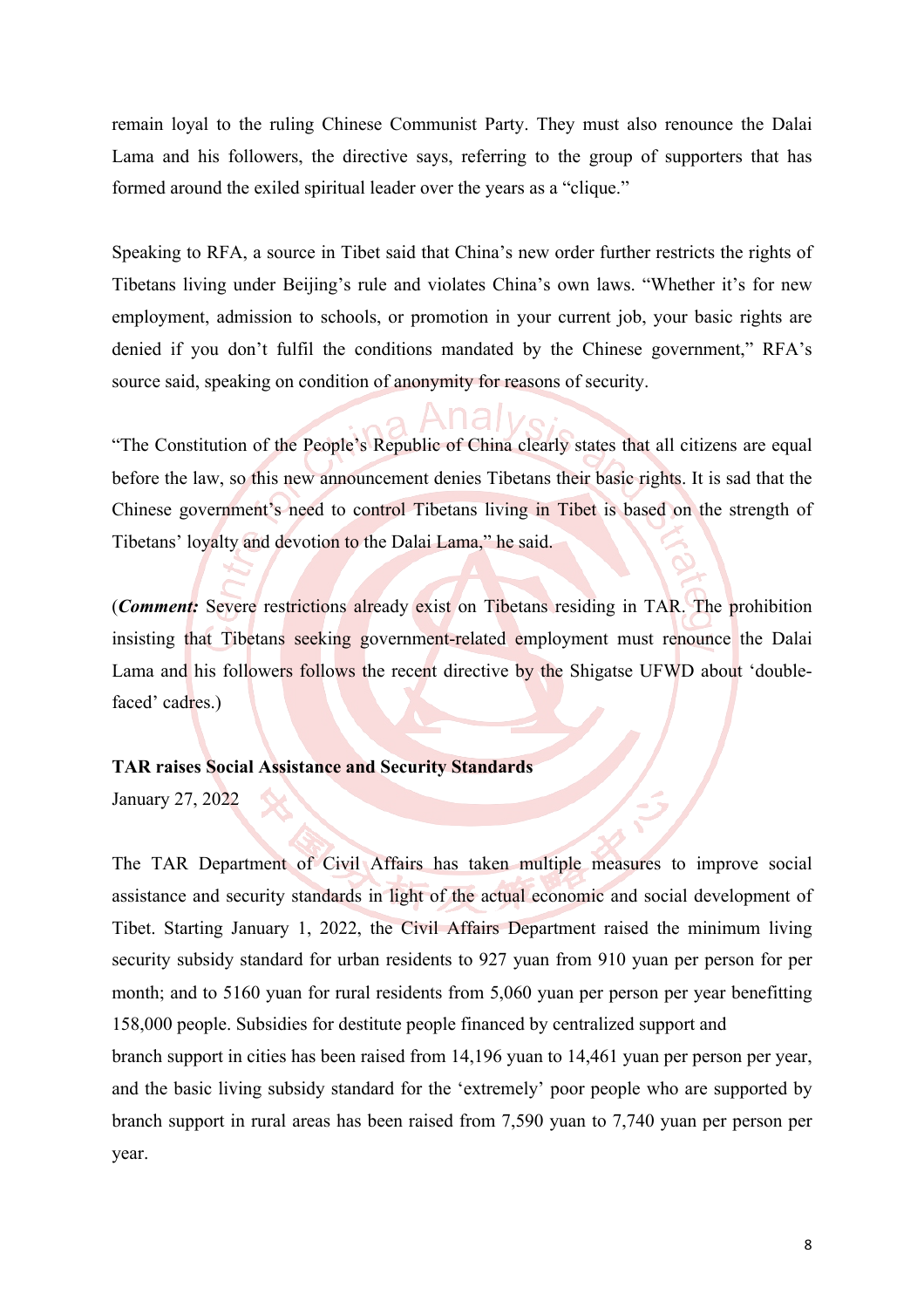remain loyal to the ruling Chinese Communist Party. They must also renounce the Dalai Lama and his followers, the directive says, referring to the group of supporters that has formed around the exiled spiritual leader over the years as a "clique."

Speaking to RFA, a source in Tibet said that China's new order further restricts the rights of Tibetans living under Beijing's rule and violates China's own laws. "Whether it's for new employment, admission to schools, or promotion in your current job, your basic rights are denied if you don't fulfil the conditions mandated by the Chinese government," RFA's source said, speaking on condition of anonymity for reasons of security.

"The Constitution of the People's Republic of China clearly states that all citizens are equal before the law, so this new announcement denies Tibetans their basic rights. It is sad that the Chinese government's need to control Tibetans living in Tibet is based on the strength of Tibetans' loyalty and devotion to the Dalai Lama," he said.

(*Comment:* Severe restrictions already exist on Tibetans residing in TAR. The prohibition insisting that Tibetans seeking government-related employment must renounce the Dalai Lama and his followers follows the recent directive by the Shigatse UFWD about 'doublefaced' cadres.)

#### **TAR raises Social Assistance and Security Standards**

January 27, 2022

The TAR Department of Civil Affairs has taken multiple measures to improve social assistance and security standards in light of the actual economic and social development of Tibet. Starting January 1, 2022, the Civil Affairs Department raised the minimum living security subsidy standard for urban residents to 927 yuan from 910 yuan per person for per month; and to 5160 yuan for rural residents from 5,060 yuan per person per year benefitting 158,000 people. Subsidies for destitute people financed by centralized support and branch support in cities has been raised from 14,196 yuan to 14,461 yuan per person per year,

and the basic living subsidy standard for the 'extremely' poor people who are supported by branch support in rural areas has been raised from 7,590 yuan to 7,740 yuan per person per year.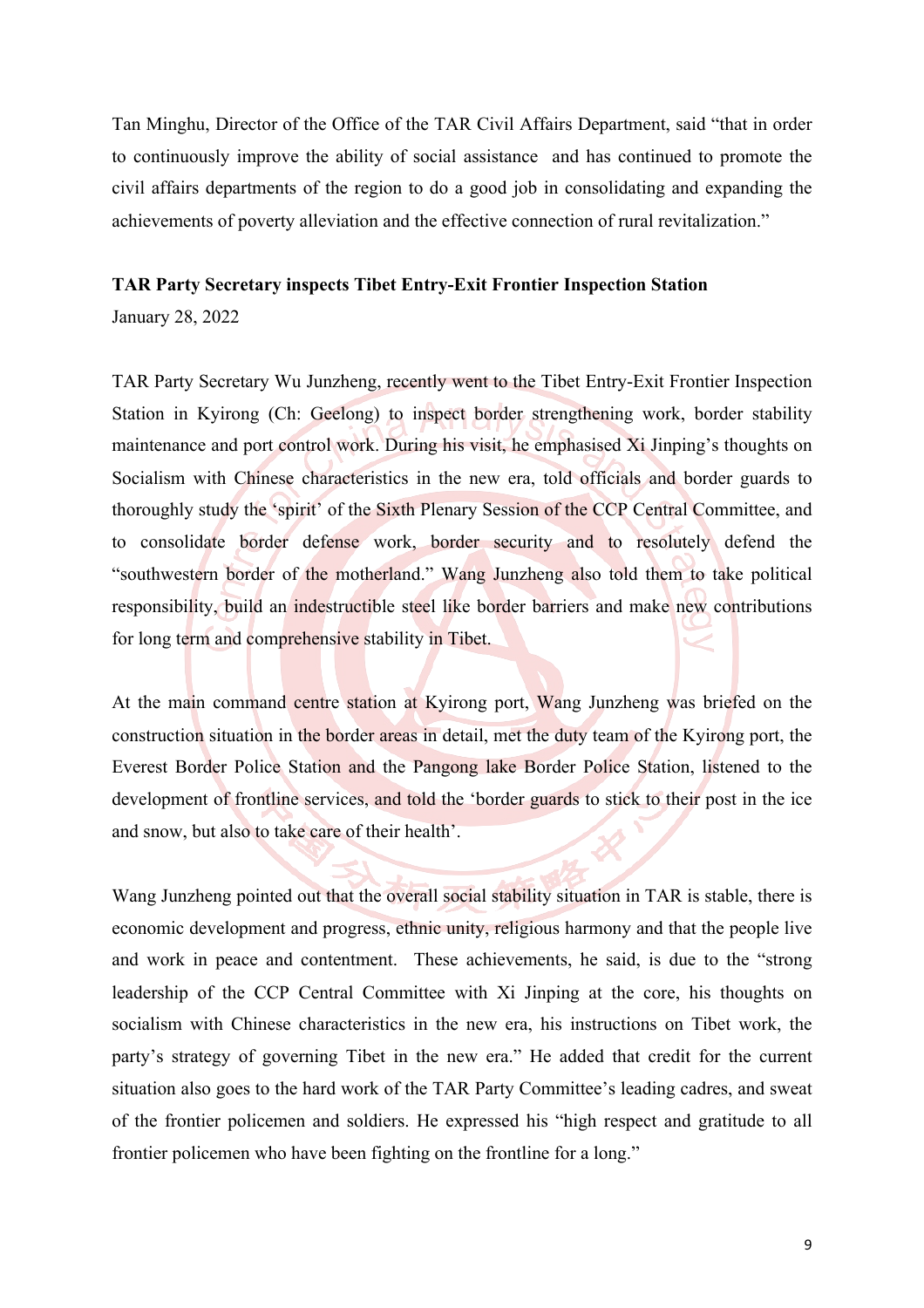Tan Minghu, Director of the Office of the TAR Civil Affairs Department, said "that in order to continuously improve the ability of social assistance and has continued to promote the civil affairs departments of the region to do a good job in consolidating and expanding the achievements of poverty alleviation and the effective connection of rural revitalization."

#### **TAR Party Secretary inspects Tibet Entry-Exit Frontier Inspection Station**

January 28, 2022

TAR Party Secretary Wu Junzheng, recently went to the Tibet Entry-Exit Frontier Inspection Station in Kyirong (Ch: Geelong) to inspect border strengthening work, border stability maintenance and port control work. During his visit, he emphasised Xi Jinping's thoughts on Socialism with Chinese characteristics in the new era, told officials and border guards to thoroughly study the 'spirit' of the Sixth Plenary Session of the CCP Central Committee, and to consolidate border defense work, border security and to resolutely defend the "southwestern border of the motherland." Wang Junzheng also told them to take political responsibility, build an indestructible steel like border barriers and make new contributions for long term and comprehensive stability in Tibet.

At the main command centre station at Kyirong port, Wang Junzheng was briefed on the construction situation in the border areas in detail, met the duty team of the Kyirong port, the Everest Border Police Station and the Pangong lake Border Police Station, listened to the development of frontline services, and told the 'border guards to stick to their post in the ice and snow, but also to take care of their health'.

Wang Junzheng pointed out that the overall social stability situation in TAR is stable, there is economic development and progress, ethnic unity, religious harmony and that the people live and work in peace and contentment. These achievements, he said, is due to the "strong leadership of the CCP Central Committee with Xi Jinping at the core, his thoughts on socialism with Chinese characteristics in the new era, his instructions on Tibet work, the party's strategy of governing Tibet in the new era." He added that credit for the current situation also goes to the hard work of the TAR Party Committee's leading cadres, and sweat of the frontier policemen and soldiers. He expressed his "high respect and gratitude to all frontier policemen who have been fighting on the frontline for a long."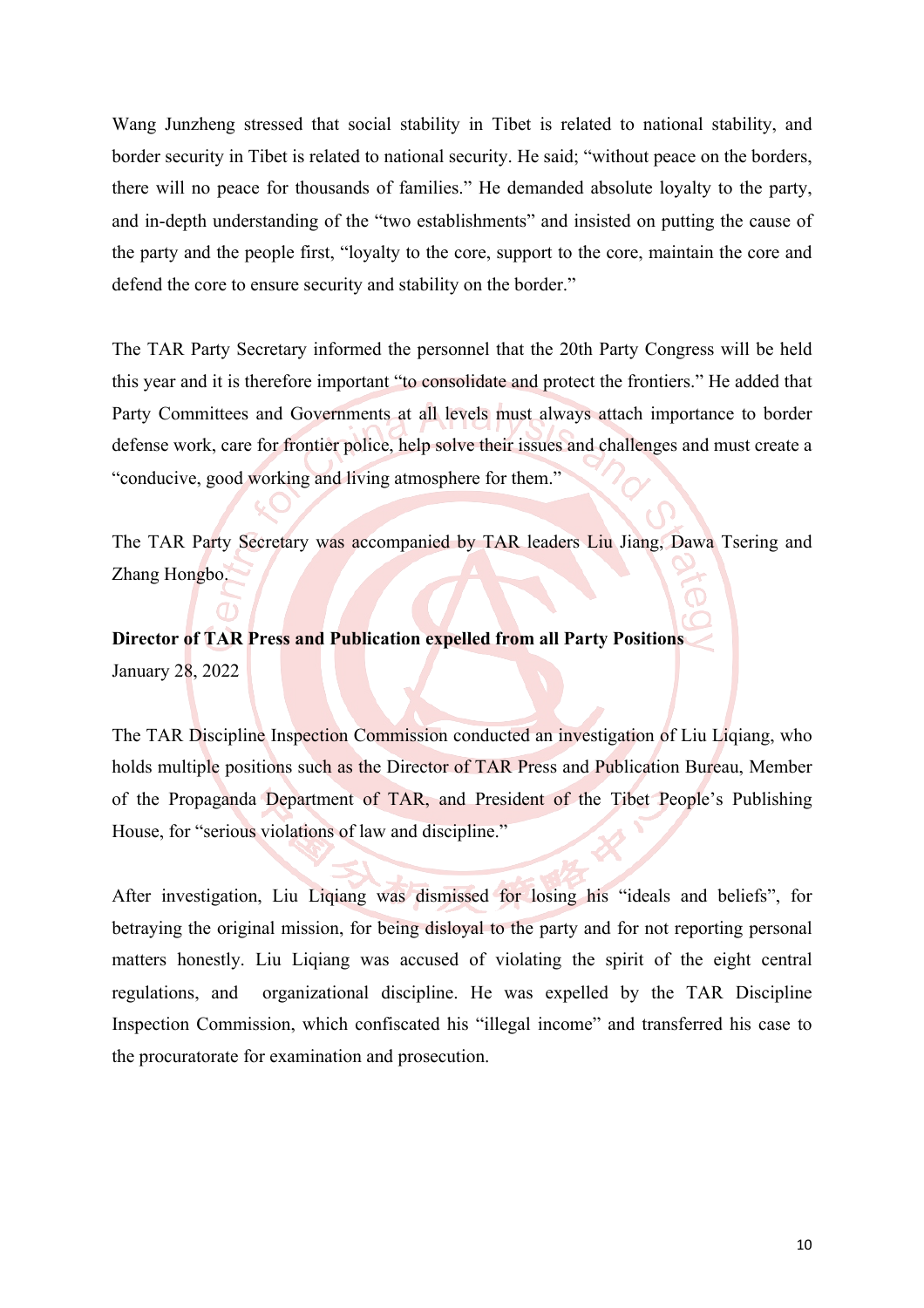Wang Junzheng stressed that social stability in Tibet is related to national stability, and border security in Tibet is related to national security. He said; "without peace on the borders, there will no peace for thousands of families." He demanded absolute loyalty to the party, and in-depth understanding of the "two establishments" and insisted on putting the cause of the party and the people first, "loyalty to the core, support to the core, maintain the core and defend the core to ensure security and stability on the border."

The TAR Party Secretary informed the personnel that the 20th Party Congress will be held this year and it is therefore important "to consolidate and protect the frontiers." He added that Party Committees and Governments at all levels must always attach importance to border defense work, care for frontier police, help solve their issues and challenges and must create a "conducive, good working and living atmosphere for them."

The TAR Party Secretary was accompanied by TAR leaders Liu Jiang, Dawa Tsering and Zhang Hongbo.

**Director of TAR Press and Publication expelled from all Party Positions** January 28, 2022

The TAR Discipline Inspection Commission conducted an investigation of Liu Liqiang, who holds multiple positions such as the Director of TAR Press and Publication Bureau, Member of the Propaganda Department of TAR, and President of the Tibet People's Publishing House, for "serious violations of law and discipline."

After investigation, Liu Liqiang was dismissed for losing his "ideals and beliefs", for betraying the original mission, for being disloyal to the party and for not reporting personal matters honestly. Liu Liqiang was accused of violating the spirit of the eight central regulations, and organizational discipline. He was expelled by the TAR Discipline Inspection Commission, which confiscated his "illegal income" and transferred his case to the procuratorate for examination and prosecution.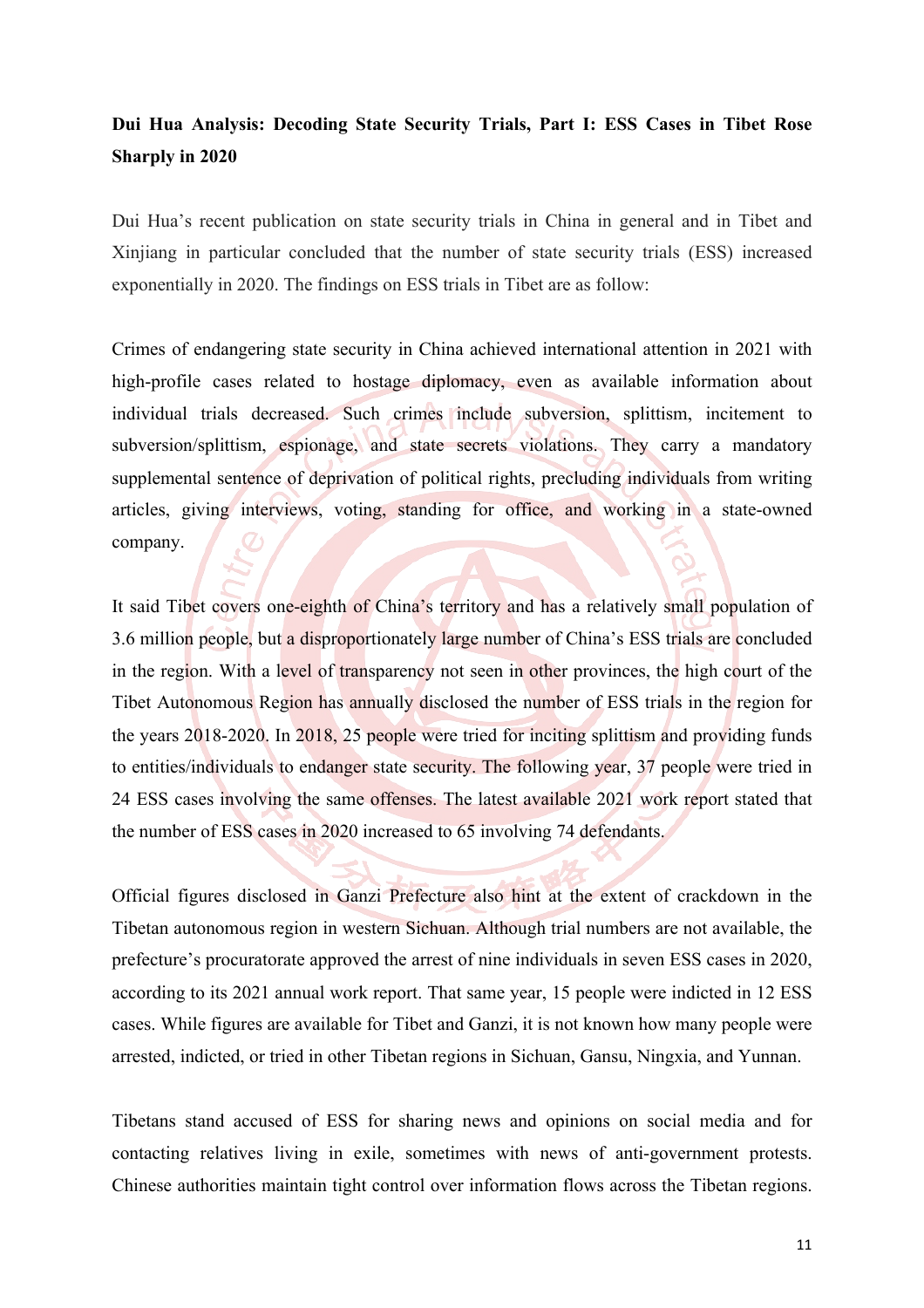## **Dui Hua Analysis: Decoding State Security Trials, Part I: ESS Cases in Tibet Rose Sharply in 2020**

Dui Hua's recent publication on state security trials in China in general and in Tibet and Xinjiang in particular concluded that the number of state security trials (ESS) increased exponentially in 2020. The findings on ESS trials in Tibet are as follow:

Crimes of endangering state security in China achieved international attention in 2021 with high-profile cases related to hostage diplomacy, even as available information about individual trials decreased. Such crimes include subversion, splittism, incitement to subversion/splittism, espionage, and state secrets violations. They carry a mandatory supplemental sentence of deprivation of political rights, precluding individuals from writing articles, giving interviews, voting, standing for office, and working in a state-owned company.

It said Tibet covers one-eighth of China's territory and has a relatively small population of 3.6 million people, but a disproportionately large number of China's ESS trials are concluded in the region. With a level of transparency not seen in other provinces, the high court of the Tibet Autonomous Region has annually disclosed the number of ESS trials in the region for the years 2018-2020. In 2018, 25 people were tried for inciting splittism and providing funds to entities/individuals to endanger state security. The following year, 37 people were tried in 24 ESS cases involving the same offenses. The latest available 2021 work report stated that the number of ESS cases in 2020 increased to 65 involving 74 defendants.

Official figures disclosed in Ganzi Prefecture also hint at the extent of crackdown in the Tibetan autonomous region in western Sichuan. Although trial numbers are not available, the prefecture's procuratorate approved the arrest of nine individuals in seven ESS cases in 2020, according to its 2021 annual work report. That same year, 15 people were indicted in 12 ESS cases. While figures are available for Tibet and Ganzi, it is not known how many people were arrested, indicted, or tried in other Tibetan regions in Sichuan, Gansu, Ningxia, and Yunnan.

Tibetans stand accused of ESS for sharing news and opinions on social media and for contacting relatives living in exile, sometimes with news of anti-government protests. Chinese authorities maintain tight control over information flows across the Tibetan regions.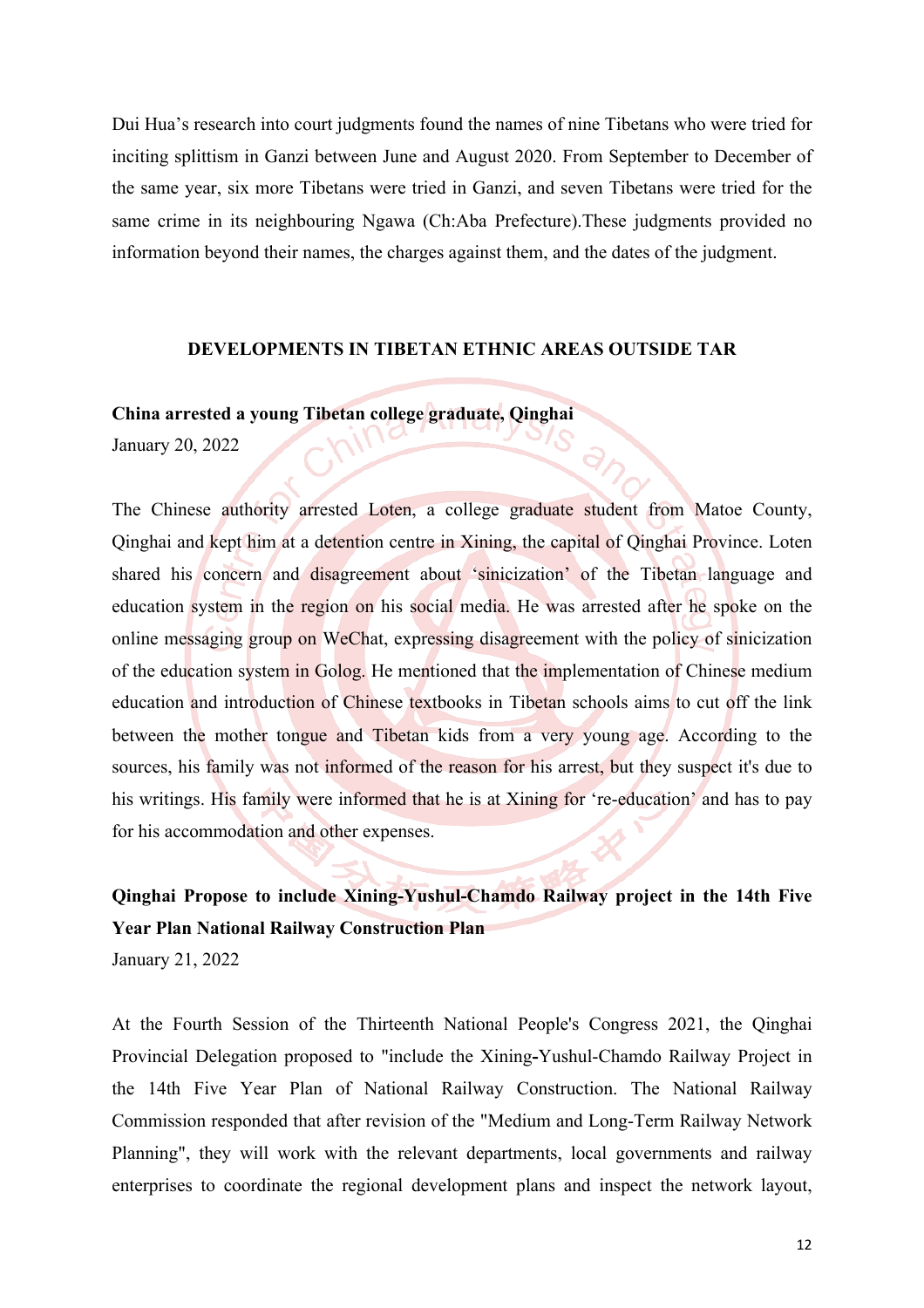Dui Hua's research into court judgments found the names of nine Tibetans who were tried for inciting splittism in Ganzi between June and August 2020. From September to December of the same year, six more Tibetans were tried in Ganzi, and seven Tibetans were tried for the same crime in its neighbouring Ngawa (Ch:Aba Prefecture).These judgments provided no information beyond their names, the charges against them, and the dates of the judgment.

#### **DEVELOPMENTS IN TIBETAN ETHNIC AREAS OUTSIDE TAR**

#### **China arrested a young Tibetan college graduate, Qinghai**

January 20, 2022

The Chinese authority arrested Loten, a college graduate student from Matoe County, Qinghai and kept him at a detention centre in Xining, the capital of Qinghai Province. Loten shared his concern and disagreement about 'sinicization' of the Tibetan language and education system in the region on his social media. He was arrested after he spoke on the online messaging group on WeChat, expressing disagreement with the policy of sinicization of the education system in Golog. He mentioned that the implementation of Chinese medium education and introduction of Chinese textbooks in Tibetan schools aims to cut off the link between the mother tongue and Tibetan kids from a very young age. According to the sources, his family was not informed of the reason for his arrest, but they suspect it's due to his writings. His family were informed that he is at Xining for 're-education' and has to pay for his accommodation and other expenses.

**Qinghai Propose to include Xining-Yushul-Chamdo Railway project in the 14th Five Year Plan National Railway Construction Plan** January 21, 2022

At the Fourth Session of the Thirteenth National People's Congress 2021, the Qinghai Provincial Delegation proposed to "include the Xining**-**Yushul-Chamdo Railway Project in the 14th Five Year Plan of National Railway Construction. The National Railway Commission responded that after revision of the "Medium and Long-Term Railway Network Planning", they will work with the relevant departments, local governments and railway enterprises to coordinate the regional development plans and inspect the network layout,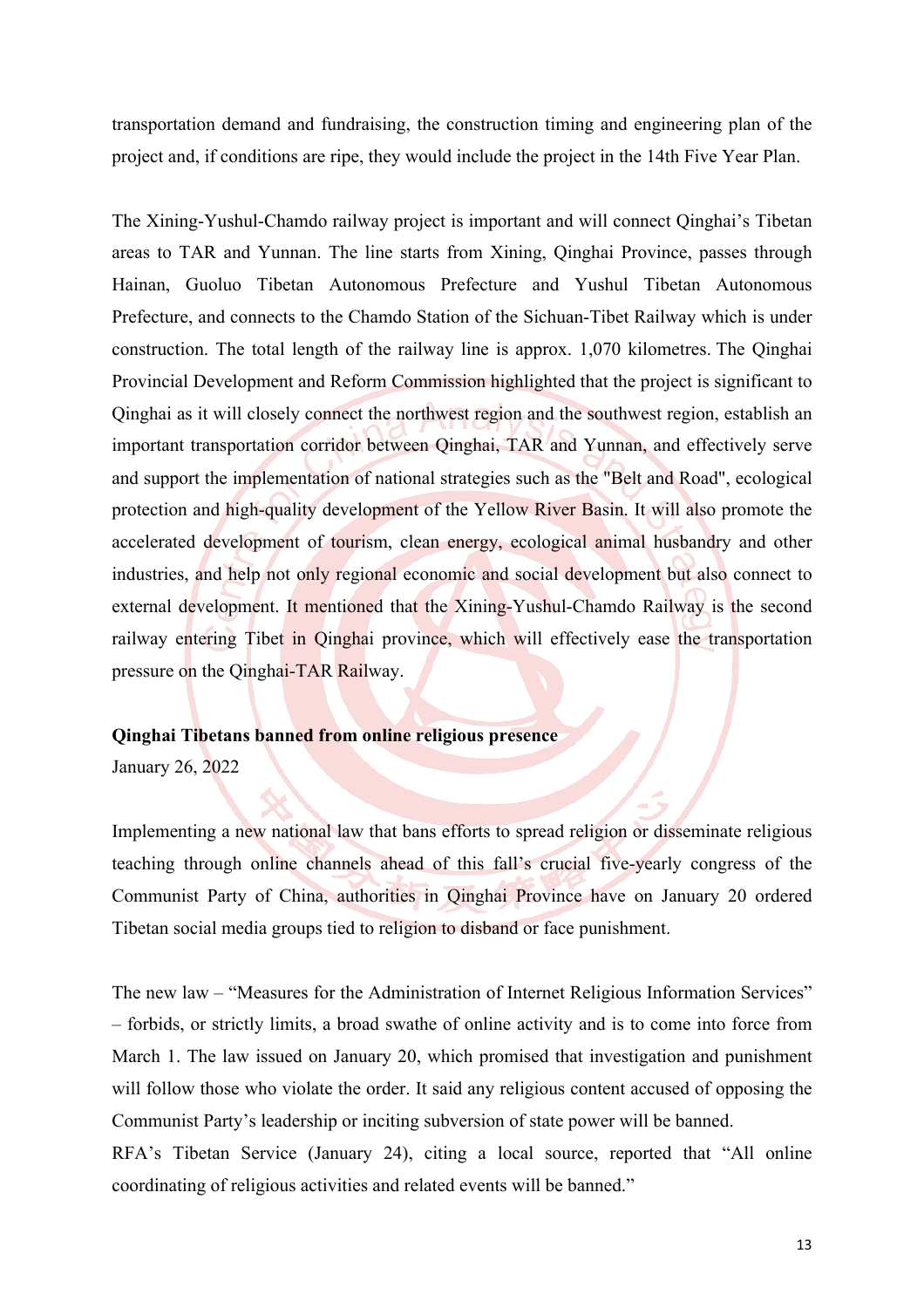transportation demand and fundraising, the construction timing and engineering plan of the project and, if conditions are ripe, they would include the project in the 14th Five Year Plan.

The Xining-Yushul-Chamdo railway project is important and will connect Qinghai's Tibetan areas to TAR and Yunnan. The line starts from Xining, Qinghai Province, passes through Hainan, Guoluo Tibetan Autonomous Prefecture and Yushul Tibetan Autonomous Prefecture, and connects to the Chamdo Station of the Sichuan-Tibet Railway which is under construction. The total length of the railway line is approx. 1,070 kilometres. The Qinghai Provincial Development and Reform Commission highlighted that the project is significant to Qinghai as it will closely connect the northwest region and the southwest region, establish an important transportation corridor between Qinghai, TAR and Yunnan, and effectively serve and support the implementation of national strategies such as the "Belt and Road", ecological protection and high-quality development of the Yellow River Basin. It will also promote the accelerated development of tourism, clean energy, ecological animal husbandry and other industries, and help not only regional economic and social development but also connect to external development. It mentioned that the Xining-Yushul-Chamdo Railway is the second railway entering Tibet in Qinghai province, which will effectively ease the transportation pressure on the Qinghai-TAR Railway.

#### **Qinghai Tibetans banned from online religious presence**

January 26, 2022

Implementing a new national law that bans efforts to spread religion or disseminate religious teaching through online channels ahead of this fall's crucial five-yearly congress of the Communist Party of China, authorities in Qinghai Province have on January 20 ordered Tibetan social media groups tied to religion to disband or face punishment.

The new law – "Measures for the Administration of Internet Religious Information Services" – forbids, or strictly limits, a broad swathe of online activity and is to come into force from March 1. The law issued on January 20, which promised that investigation and punishment will follow those who violate the order. It said any religious content accused of opposing the Communist Party's leadership or inciting subversion of state power will be banned.

RFA's Tibetan Service (January 24), citing a local source, reported that "All online coordinating of religious activities and related events will be banned."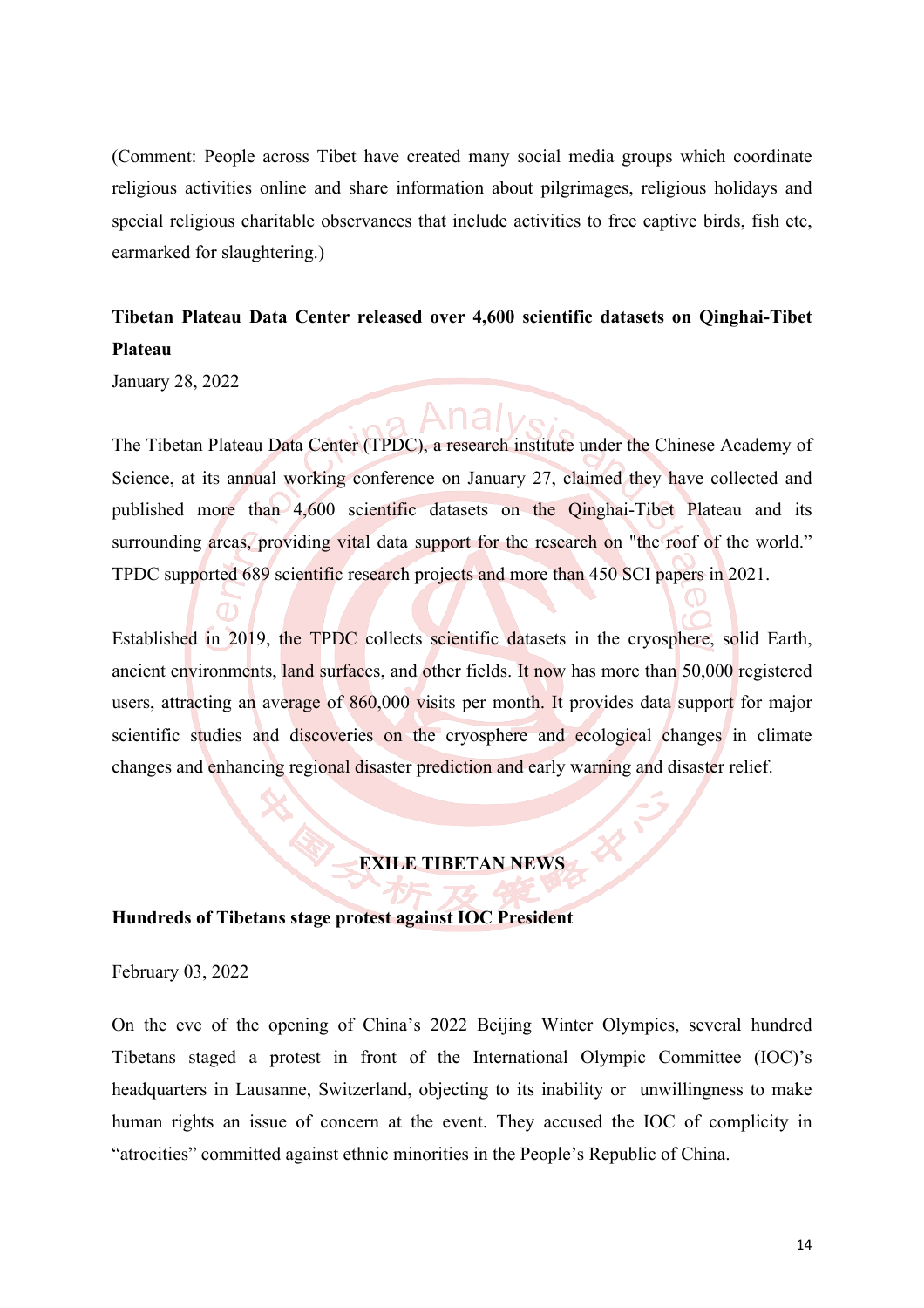(Comment: People across Tibet have created many social media groups which coordinate religious activities online and share information about pilgrimages, religious holidays and special religious charitable observances that include activities to free captive birds, fish etc, earmarked for slaughtering.)

## **Tibetan Plateau Data Center released over 4,600 scientific datasets on Qinghai-Tibet Plateau**

January 28, 2022

The Tibetan Plateau Data Center (TPDC), a research institute under the Chinese Academy of Science, at its annual working conference on January 27, claimed they have collected and published more than 4,600 scientific datasets on the Qinghai-Tibet Plateau and its surrounding areas, providing vital data support for the research on "the roof of the world." TPDC supported 689 scientific research projects and more than 450 SCI papers in 2021.

Established in 2019, the TPDC collects scientific datasets in the cryosphere, solid Earth, ancient environments, land surfaces, and other fields. It now has more than 50,000 registered users, attracting an average of 860,000 visits per month. It provides data support for major scientific studies and discoveries on the cryosphere and ecological changes in climate changes and enhancing regional disaster prediction and early warning and disaster relief.

### **EXILE TIBETAN NEWS**

#### **Hundreds of Tibetans stage protest against IOC President**

February 03, 2022

On the eve of the opening of China's 2022 Beijing Winter Olympics, several hundred Tibetans staged a protest in front of the International Olympic Committee (IOC)'s headquarters in Lausanne, Switzerland, objecting to its inability or unwillingness to make human rights an issue of concern at the event. They accused the IOC of complicity in "atrocities" committed against ethnic minorities in the People's Republic of China.